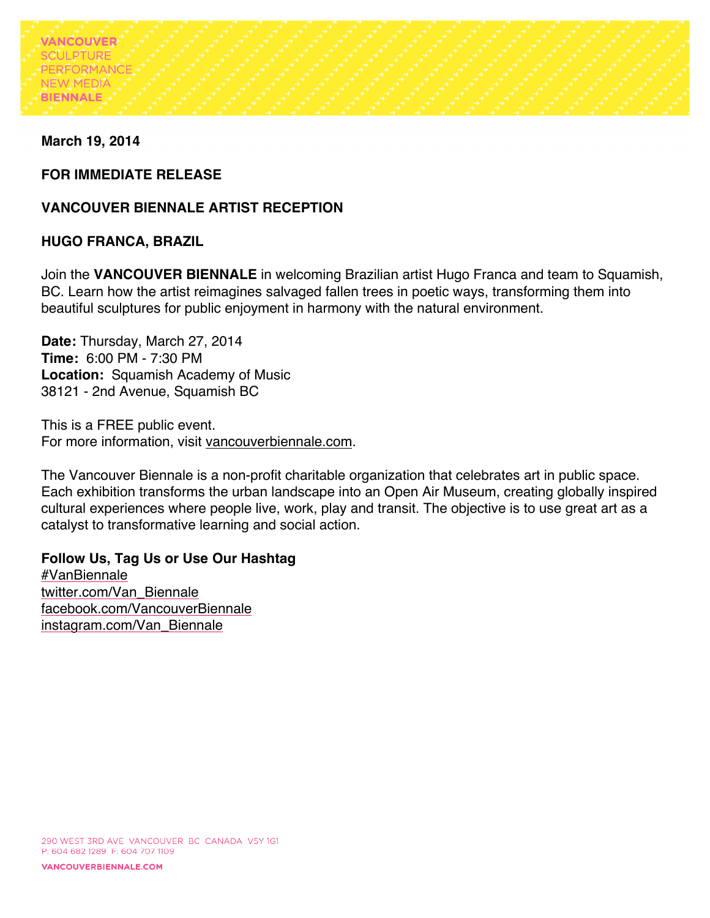

**March 19, 2014**

**FOR IMMEDIATE RELEASE** 

## **VANCOUVER BIENNALE ARTIST RECEPTION**

## **HUGO FRANCA, BRAZIL**

Join the **VANCOUVER BIENNALE** in welcoming Brazilian artist Hugo Franca and team to Squamish, BC. Learn how the artist reimagines salvaged fallen trees in poetic ways, transforming them into beautiful sculptures for public enjoyment in harmony with the natural environment.

**Date:** Thursday, March 27, 2014 **Time:** 6:00 PM - 7:30 PM **Location:** Squamish Academy of Music 38121 - 2nd Avenue, Squamish BC

This is a FREE public event. For more information, visit vancouverbiennale.com.

The Vancouver Biennale is a non-profit charitable organization that celebrates art in public space. Each exhibition transforms the urban landscape into an Open Air Museum, creating globally inspired cultural experiences where people live, work, play and transit. The objective is to use great art as a catalyst to transformative learning and social action.

**Follow Us, Tag Us or Use Our Hashtag** #VanBiennale twitter.com/Van\_Biennale facebook.com/VancouverBiennale instagram.com/Van\_Biennale

290 WEST 3RD AVE VANCOUVER BC CANADA V5Y1G1 P: 604 682 1289 F: 604 707 1109

**VANCOUVERBIENNALE.COM**